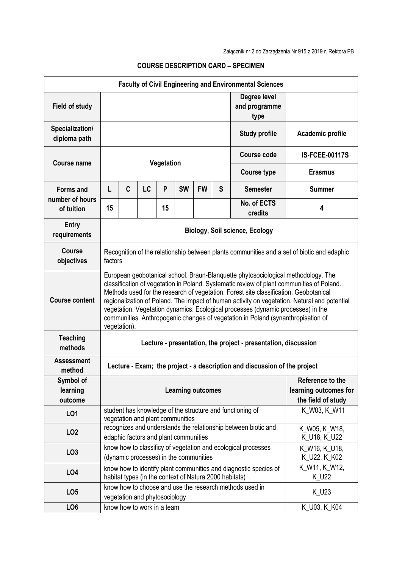| <b>Faculty of Civil Engineering and Environmental Sciences</b> |                                                                                                                                                                                                                                                                                                                                                                                                                                                                                                                                                                 |                                                                                                                                                                   |                               |    |           |                                                                                                                                          |   |                                                         |                               |  |
|----------------------------------------------------------------|-----------------------------------------------------------------------------------------------------------------------------------------------------------------------------------------------------------------------------------------------------------------------------------------------------------------------------------------------------------------------------------------------------------------------------------------------------------------------------------------------------------------------------------------------------------------|-------------------------------------------------------------------------------------------------------------------------------------------------------------------|-------------------------------|----|-----------|------------------------------------------------------------------------------------------------------------------------------------------|---|---------------------------------------------------------|-------------------------------|--|
| <b>Field of study</b>                                          |                                                                                                                                                                                                                                                                                                                                                                                                                                                                                                                                                                 |                                                                                                                                                                   |                               |    |           |                                                                                                                                          |   | Degree level<br>and programme<br>type                   |                               |  |
| Specialization/<br>diploma path                                |                                                                                                                                                                                                                                                                                                                                                                                                                                                                                                                                                                 |                                                                                                                                                                   |                               |    |           |                                                                                                                                          |   | <b>Study profile</b>                                    | Academic profile              |  |
| Course name                                                    | Vegetation                                                                                                                                                                                                                                                                                                                                                                                                                                                                                                                                                      |                                                                                                                                                                   |                               |    |           |                                                                                                                                          |   | Course code                                             | <b>IS-FCEE-00117S</b>         |  |
|                                                                |                                                                                                                                                                                                                                                                                                                                                                                                                                                                                                                                                                 |                                                                                                                                                                   |                               |    |           |                                                                                                                                          |   | <b>Course type</b>                                      | <b>Erasmus</b>                |  |
| <b>Forms and</b>                                               | L                                                                                                                                                                                                                                                                                                                                                                                                                                                                                                                                                               | C                                                                                                                                                                 | LC                            | P  | <b>SW</b> | <b>FW</b>                                                                                                                                | S | <b>Semester</b>                                         | <b>Summer</b>                 |  |
| number of hours<br>of tuition                                  | 15                                                                                                                                                                                                                                                                                                                                                                                                                                                                                                                                                              |                                                                                                                                                                   |                               | 15 |           |                                                                                                                                          |   | No. of ECTS<br>credits                                  | 4                             |  |
| Entry<br>requirements                                          | <b>Biology, Soil science, Ecology</b>                                                                                                                                                                                                                                                                                                                                                                                                                                                                                                                           |                                                                                                                                                                   |                               |    |           |                                                                                                                                          |   |                                                         |                               |  |
| <b>Course</b><br>objectives                                    | Recognition of the relationship between plants communities and a set of biotic and edaphic<br>factors                                                                                                                                                                                                                                                                                                                                                                                                                                                           |                                                                                                                                                                   |                               |    |           |                                                                                                                                          |   |                                                         |                               |  |
| <b>Course content</b>                                          | European geobotanical school. Braun-Blanquette phytosociological methodology. The<br>classification of vegetation in Poland. Systematic review of plant communities of Poland.<br>Methods used for the research of vegetation. Forest site classification. Geobotanical<br>regionalization of Poland. The impact of human activity on vegetation. Natural and potential<br>vegetation. Vegetation dynamics. Ecological processes (dynamic processes) in the<br>communities. Anthropogenic changes of vegetation in Poland (synanthropisation of<br>vegetation). |                                                                                                                                                                   |                               |    |           |                                                                                                                                          |   |                                                         |                               |  |
| <b>Teaching</b><br>methods                                     | Lecture - presentation, the project - presentation, discussion                                                                                                                                                                                                                                                                                                                                                                                                                                                                                                  |                                                                                                                                                                   |                               |    |           |                                                                                                                                          |   |                                                         |                               |  |
| <b>Assessment</b><br>method                                    | Lecture - Exam; the project - a description and discussion of the project                                                                                                                                                                                                                                                                                                                                                                                                                                                                                       |                                                                                                                                                                   |                               |    |           |                                                                                                                                          |   |                                                         |                               |  |
| Symbol of<br>learning<br>outcome                               | Reference to the<br>learning outcomes for<br><b>Learning outcomes</b><br>the field of study                                                                                                                                                                                                                                                                                                                                                                                                                                                                     |                                                                                                                                                                   |                               |    |           |                                                                                                                                          |   |                                                         |                               |  |
| LO1                                                            |                                                                                                                                                                                                                                                                                                                                                                                                                                                                                                                                                                 | student has knowledge of the structure and functioning of<br>$\overline{K}$ W03, K_W11<br>vegetation and plant communities                                        |                               |    |           |                                                                                                                                          |   |                                                         |                               |  |
| LO <sub>2</sub>                                                |                                                                                                                                                                                                                                                                                                                                                                                                                                                                                                                                                                 | recognizes and understands the relationship between biotic and<br>edaphic factors and plant communities                                                           |                               |    |           |                                                                                                                                          |   |                                                         | K_W05, K_W18,<br>K_U18, K_U22 |  |
| LO <sub>3</sub>                                                |                                                                                                                                                                                                                                                                                                                                                                                                                                                                                                                                                                 |                                                                                                                                                                   |                               |    |           | know how to classificy of vegetation and ecological processes<br>K_W16, K_U18,<br>(dynamic processes) in the communities<br>K_U22, K_K02 |   |                                                         |                               |  |
| LO <sub>4</sub>                                                |                                                                                                                                                                                                                                                                                                                                                                                                                                                                                                                                                                 | $\overline{K}$ W11, K_W12,<br>know how to identify plant communities and diagnostic species of<br>habitat types (in the context of Natura 2000 habitats)<br>K_U22 |                               |    |           |                                                                                                                                          |   |                                                         |                               |  |
| LO <sub>5</sub>                                                |                                                                                                                                                                                                                                                                                                                                                                                                                                                                                                                                                                 |                                                                                                                                                                   | vegetation and phytosociology |    |           |                                                                                                                                          |   | know how to choose and use the research methods used in | $K_U23$                       |  |
| LO <sub>6</sub>                                                |                                                                                                                                                                                                                                                                                                                                                                                                                                                                                                                                                                 |                                                                                                                                                                   | know how to work in a team    |    |           |                                                                                                                                          |   |                                                         | K_U03, K_K04                  |  |

## **COURSE DESCRIPTION CARD – SPECIMEN**